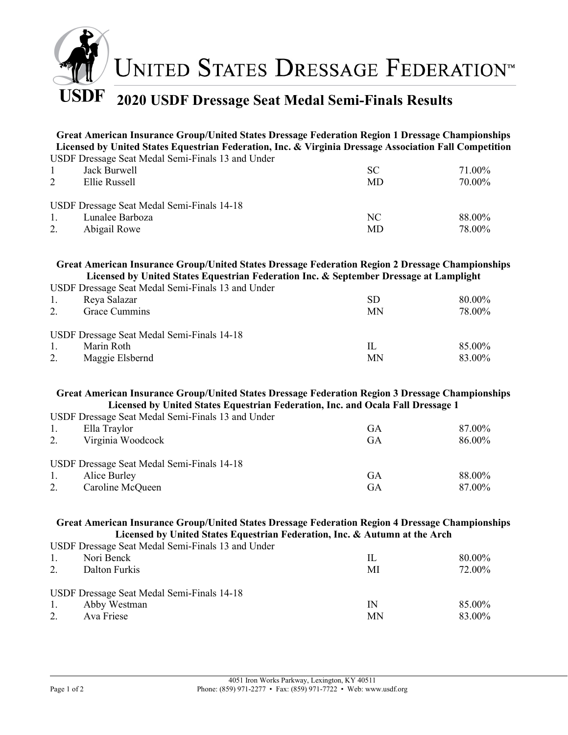

## USDF 2020 USDF Dressage Seat Medal Semi-Finals Results

Great American Insurance Group/United States Dressage Federation Region 1 Dressage Championships Licensed by United States Equestrian Federation, Inc. & Virginia Dressage Association Fall Competition USDF Dressage Seat Medal Semi-Finals 13 and Under

|                | OSDI DIESSage Seat Medal Seilli-Filmais 15 and Onder |           |        |
|----------------|------------------------------------------------------|-----------|--------|
| $\overline{1}$ | Jack Burwell                                         | <b>SC</b> | 71.00% |
| 2              | Ellie Russell                                        | MD        | 70.00% |
|                | USDF Dressage Seat Medal Semi-Finals 14-18           |           |        |
|                |                                                      |           |        |
| $\pm$ 1.       | Lunalee Barboza                                      | NC        | 88.00% |
| 2.             | Abigail Rowe                                         | MD        | 78.00% |
|                |                                                      |           |        |

## Great American Insurance Group/United States Dressage Federation Region 2 Dressage Championships Licensed by United States Equestrian Federation Inc. & September Dressage at Lamplight

USDF Dressage Seat Medal Semi-Finals 13 and Under

|                      | CODT DIVOURS Deathleath Definit Hintip To this Chuel                        |          |                  |
|----------------------|-----------------------------------------------------------------------------|----------|------------------|
| 1.                   | Reya Salazar                                                                | SD       | 80.00%           |
| 2.                   | Grace Cummins                                                               | MN       | 78.00%           |
| $\mathbf{1}$ .<br>2. | USDF Dressage Seat Medal Semi-Finals 14-18<br>Marin Roth<br>Maggie Elsbernd | IL<br>MN | 85.00%<br>83.00% |

## Great American Insurance Group/United States Dressage Federation Region 3 Dressage Championships Licensed by United States Equestrian Federation, Inc. and Ocala Fall Dressage 1

USDF Dressage Seat Medal Semi-Finals 13 and Under

|    | Ella Traylor                               | GА | 87.00% |
|----|--------------------------------------------|----|--------|
|    | Virginia Woodcock                          | GА | 86.00% |
|    |                                            |    |        |
|    | USDF Dressage Seat Medal Semi-Finals 14-18 |    |        |
| 1. | Alice Burley                               | GA | 88.00% |
|    | Caroline McQueen                           | GA | 87.00% |

## Great American Insurance Group/United States Dressage Federation Region 4 Dressage Championships Licensed by United States Equestrian Federation, Inc. & Autumn at the Arch

USDF Dressage Seat Medal Semi-Finals 13 and Under

| -1.              | Nori Benck                                 | IL | 80.00% |
|------------------|--------------------------------------------|----|--------|
| 2.               | Dalton Furkis                              | MI | 72.00% |
|                  |                                            |    |        |
|                  |                                            |    |        |
|                  | USDF Dressage Seat Medal Semi-Finals 14-18 |    |        |
| $\overline{1}$ . | Abby Westman                               | IN | 85.00% |